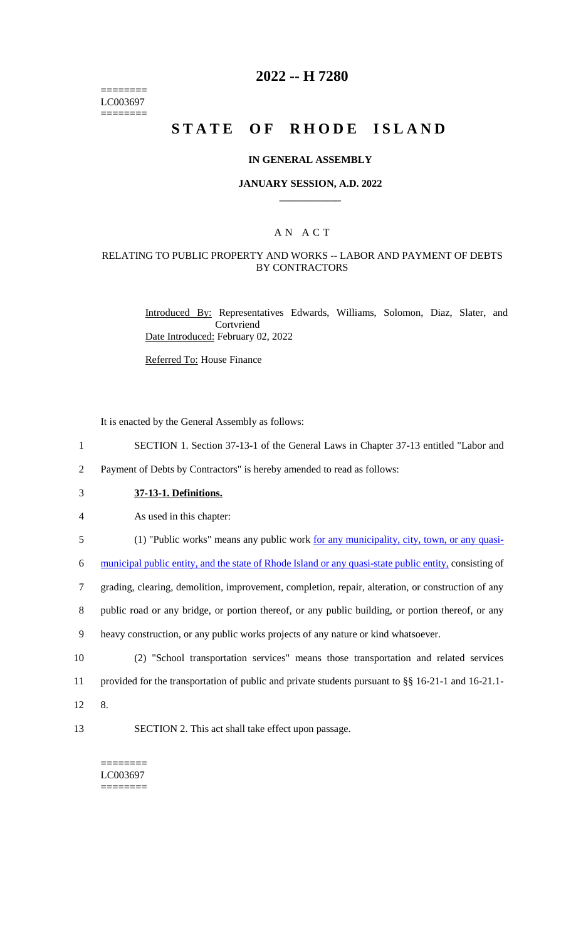======== LC003697 ========

# **2022 -- H 7280**

# **STATE OF RHODE ISLAND**

#### **IN GENERAL ASSEMBLY**

### **JANUARY SESSION, A.D. 2022 \_\_\_\_\_\_\_\_\_\_\_\_**

## A N A C T

### RELATING TO PUBLIC PROPERTY AND WORKS -- LABOR AND PAYMENT OF DEBTS BY CONTRACTORS

Introduced By: Representatives Edwards, Williams, Solomon, Diaz, Slater, and Cortvriend Date Introduced: February 02, 2022

Referred To: House Finance

It is enacted by the General Assembly as follows:

- 1 SECTION 1. Section 37-13-1 of the General Laws in Chapter 37-13 entitled "Labor and
- 2 Payment of Debts by Contractors" is hereby amended to read as follows:
- 3 **37-13-1. Definitions.**
- 4 As used in this chapter:
- 5 (1) "Public works" means any public work <u>for any municipality, city, town, or any quasi-</u>

6 municipal public entity, and the state of Rhode Island or any quasi-state public entity, consisting of

7 grading, clearing, demolition, improvement, completion, repair, alteration, or construction of any

8 public road or any bridge, or portion thereof, or any public building, or portion thereof, or any

- 9 heavy construction, or any public works projects of any nature or kind whatsoever.
- 10 (2) "School transportation services" means those transportation and related services 11 provided for the transportation of public and private students pursuant to §§ 16-21-1 and 16-21.1- 12 8.
- 
- 13 SECTION 2. This act shall take effect upon passage.

======== LC003697 ========